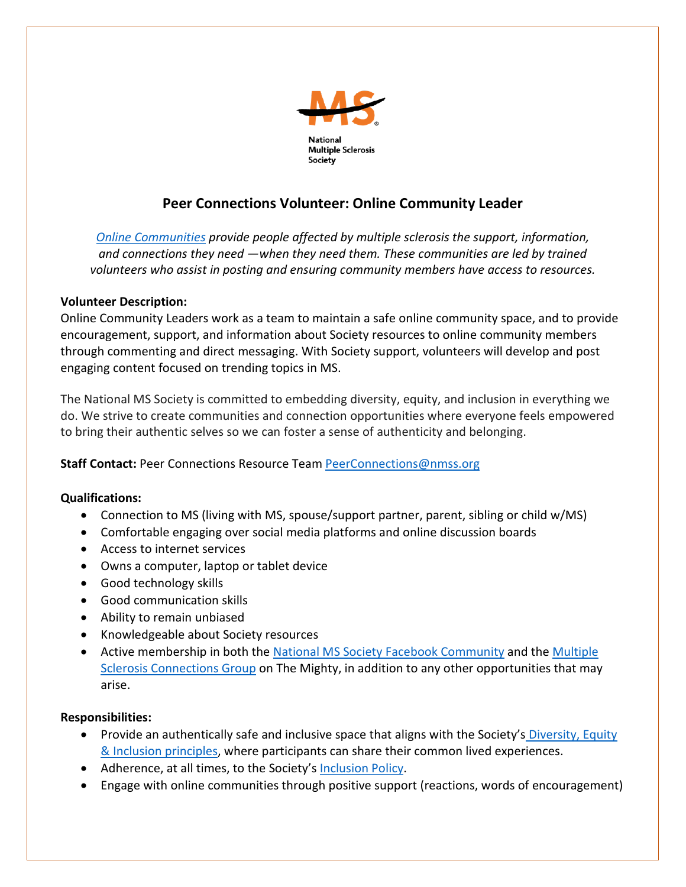

# **Peer Connections Volunteer: Online Community Leader**

*[Online Communities](https://www.nationalmssociety.org/Resources-Support/Find-Support/Online-Communities) provide people affected by multiple sclerosis the support, information, and connections they need —when they need them. These communities are led by trained volunteers who assist in posting and ensuring community members have access to resources.*

## **Volunteer Description:**

Online Community Leaders work as a team to maintain a safe online community space, and to provide encouragement, support, and information about Society resources to online community members through commenting and direct messaging. With Society support, volunteers will develop and post engaging content focused on trending topics in MS.

The National MS Society is committed to embedding diversity, equity, and inclusion in everything we do. We strive to create communities and connection opportunities where everyone feels empowered to bring their authentic selves so we can foster a sense of authenticity and belonging.

**Staff Contact:** Peer Connections Resource Team [PeerConnections@nmss.org](mailto:PeerConnections@nmss.org)

### **Qualifications:**

- Connection to MS (living with MS, spouse/support partner, parent, sibling or child w/MS)
- Comfortable engaging over social media platforms and online discussion boards
- Access to internet services
- Owns a computer, laptop or tablet device
- Good technology skills
- Good communication skills
- Ability to remain unbiased
- Knowledgeable about Society resources
- Active membership in both th[e National MS Society Facebook Community](https://www.facebook.com/groups/nationalmssocietycommunity) and the [Multiple](https://themighty.com/groups/multiplesclerosisconnections)  [Sclerosis Connections Group](https://themighty.com/groups/multiplesclerosisconnections) on The Mighty, in addition to any other opportunities that may arise.

### **Responsibilities:**

- Provide an authentically safe and inclusive space that aligns with the Society's Diversity, Equity [& Inclusion principles,](https://www.nationalmssociety.org/About-the-Society/Diversity-Equity-and-Inclusion) where participants can share their common lived experiences.
- Adherence, at all times, to the Society's [Inclusion Policy.](https://www.nationalmssociety.org/About-the-Society/Diversity-Equity-and-Inclusion/Inclusion-Policy)
- Engage with online communities through positive support (reactions, words of encouragement)